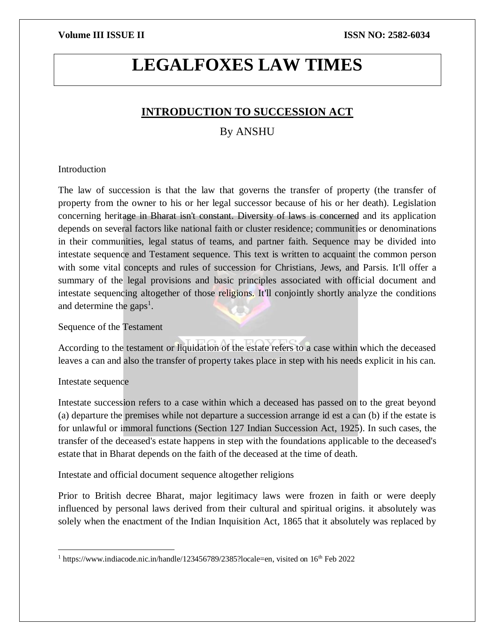# **LEGALFOXES LAW TIMES**

## **INTRODUCTION TO SUCCESSION ACT**

# By ANSHU

### **Introduction**

The law of succession is that the law that governs the transfer of property (the transfer of property from the owner to his or her legal successor because of his or her death). Legislation concerning heritage in Bharat isn't constant. Diversity of laws is concerned and its application depends on several factors like national faith or cluster residence; communities or denominations in their communities, legal status of teams, and partner faith. Sequence may be divided into intestate sequence and Testament sequence. This text is written to acquaint the common person with some vital concepts and rules of succession for Christians, Jews, and Parsis. It'll offer a summary of the legal provisions and basic principles associated with official document and intestate sequencing altogether of those religions. It'll conjointly shortly analyze the conditions and determine the gaps<sup>1</sup>.

Sequence of the Testament

According to the testament or liquidation of the estate refers to a case within which the deceased leaves a can and also the transfer of property takes place in step with his needs explicit in his can.

### Intestate sequence

Intestate succession refers to a case within which a deceased has passed on to the great beyond (a) departure the premises while not departure a succession arrange id est a can (b) if the estate is for unlawful or immoral functions (Section 127 Indian Succession Act, 1925). In such cases, the transfer of the deceased's estate happens in step with the foundations applicable to the deceased's estate that in Bharat depends on the faith of the deceased at the time of death.

Intestate and official document sequence altogether religions

Prior to British decree Bharat, major legitimacy laws were frozen in faith or were deeply influenced by personal laws derived from their cultural and spiritual origins. it absolutely was solely when the enactment of the Indian Inquisition Act, 1865 that it absolutely was replaced by

 $\overline{a}$ <sup>1</sup> https://www.indiacode.nic.in/handle/123456789/2385?locale=en, visited on 16<sup>th</sup> Feb 2022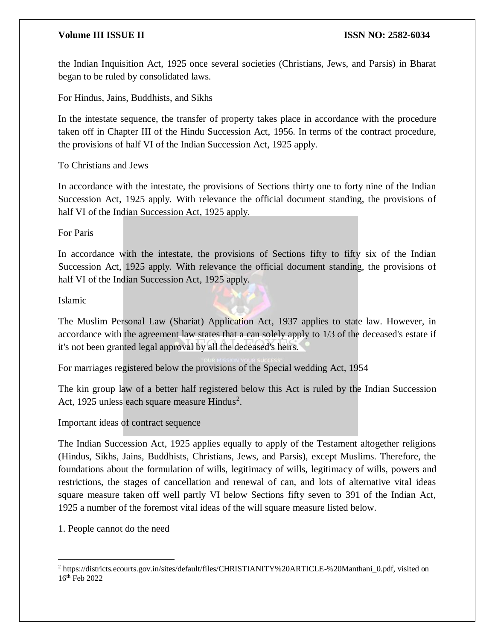the Indian Inquisition Act, 1925 once several societies (Christians, Jews, and Parsis) in Bharat began to be ruled by consolidated laws.

For Hindus, Jains, Buddhists, and Sikhs

In the intestate sequence, the transfer of property takes place in accordance with the procedure taken off in Chapter III of the Hindu Succession Act, 1956. In terms of the contract procedure, the provisions of half VI of the Indian Succession Act, 1925 apply.

To Christians and Jews

In accordance with the intestate, the provisions of Sections thirty one to forty nine of the Indian Succession Act, 1925 apply. With relevance the official document standing, the provisions of half VI of the Indian Succession Act, 1925 apply.

For Paris

In accordance with the intestate, the provisions of Sections fifty to fifty six of the Indian Succession Act, 1925 apply. With relevance the official document standing, the provisions of half VI of the Indian Succession Act, 1925 apply.

Islamic

The Muslim Personal Law (Shariat) Application Act, 1937 applies to state law. However, in accordance with the agreement law states that a can solely apply to 1/3 of the deceased's estate if it's not been granted legal approval by all the deceased's heirs.

For marriages registered below the provisions of the Special wedding Act, 1954

The kin group law of a better half registered below this Act is ruled by the Indian Succession Act, 1925 unless each square measure Hindus<sup>2</sup>.

Important ideas of contract sequence

The Indian Succession Act, 1925 applies equally to apply of the Testament altogether religions (Hindus, Sikhs, Jains, Buddhists, Christians, Jews, and Parsis), except Muslims. Therefore, the foundations about the formulation of wills, legitimacy of wills, legitimacy of wills, powers and restrictions, the stages of cancellation and renewal of can, and lots of alternative vital ideas square measure taken off well partly VI below Sections fifty seven to 391 of the Indian Act, 1925 a number of the foremost vital ideas of the will square measure listed below.

1. People cannot do the need

 $\overline{\phantom{a}}$ 

<sup>2</sup> https://districts.ecourts.gov.in/sites/default/files/CHRISTIANITY%20ARTICLE-%20Manthani\_0.pdf, visited on 16th Feb 2022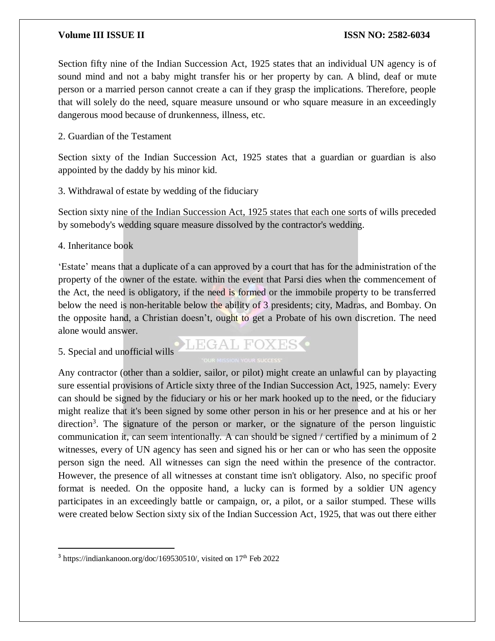Section fifty nine of the Indian Succession Act, 1925 states that an individual UN agency is of sound mind and not a baby might transfer his or her property by can. A blind, deaf or mute person or a married person cannot create a can if they grasp the implications. Therefore, people that will solely do the need, square measure unsound or who square measure in an exceedingly dangerous mood because of drunkenness, illness, etc.

2. Guardian of the Testament

Section sixty of the Indian Succession Act, 1925 states that a guardian or guardian is also appointed by the daddy by his minor kid.

3. Withdrawal of estate by wedding of the fiduciary

Section sixty nine of the Indian Succession Act, 1925 states that each one sorts of wills preceded by somebody's wedding square measure dissolved by the contractor's wedding.

4. Inheritance book

'Estate' means that a duplicate of a can approved by a court that has for the administration of the property of the owner of the estate. within the event that Parsi dies when the commencement of the Act, the need is obligatory, if the need is formed or the immobile property to be transferred below the need is non-heritable below the ability of 3 presidents; city, Madras, and Bombay. On the opposite hand, a Christian doesn't, ought to get a Probate of his own discretion. The need alone would answer.

5. Special and unofficial wills

 $\overline{a}$ 

LEGAL FOXES<sup>.</sup>

Any contractor (other than a soldier, sailor, or pilot) might create an unlawful can by playacting sure essential provisions of Article sixty three of the Indian Succession Act, 1925, namely: Every can should be signed by the fiduciary or his or her mark hooked up to the need, or the fiduciary might realize that it's been signed by some other person in his or her presence and at his or her direction<sup>3</sup>. The signature of the person or marker, or the signature of the person linguistic communication it, can seem intentionally. A can should be signed / certified by a minimum of 2 witnesses, every of UN agency has seen and signed his or her can or who has seen the opposite person sign the need. All witnesses can sign the need within the presence of the contractor. However, the presence of all witnesses at constant time isn't obligatory. Also, no specific proof format is needed. On the opposite hand, a lucky can is formed by a soldier UN agency participates in an exceedingly battle or campaign, or, a pilot, or a sailor stumped. These wills were created below Section sixty six of the Indian Succession Act, 1925, that was out there either

<sup>&</sup>lt;sup>3</sup> https://indiankanoon.org/doc/169530510/, visited on 17<sup>th</sup> Feb 2022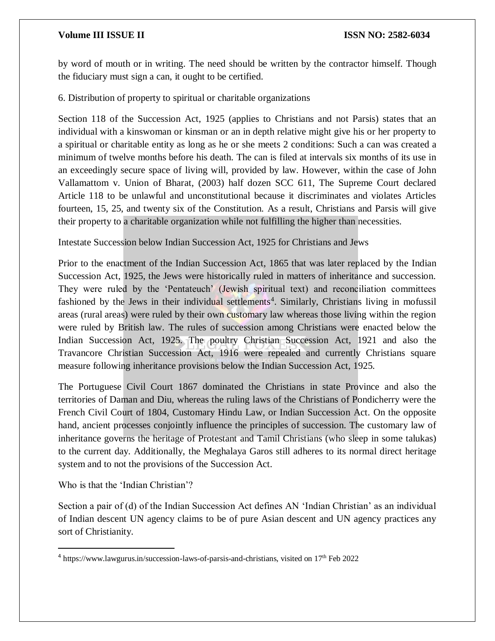by word of mouth or in writing. The need should be written by the contractor himself. Though the fiduciary must sign a can, it ought to be certified.

6. Distribution of property to spiritual or charitable organizations

Section 118 of the Succession Act, 1925 (applies to Christians and not Parsis) states that an individual with a kinswoman or kinsman or an in depth relative might give his or her property to a spiritual or charitable entity as long as he or she meets 2 conditions: Such a can was created a minimum of twelve months before his death. The can is filed at intervals six months of its use in an exceedingly secure space of living will, provided by law. However, within the case of John Vallamattom v. Union of Bharat, (2003) half dozen SCC 611, The Supreme Court declared Article 118 to be unlawful and unconstitutional because it discriminates and violates Articles fourteen, 15, 25, and twenty six of the Constitution. As a result, Christians and Parsis will give their property to a charitable organization while not fulfilling the higher than necessities.

Intestate Succession below Indian Succession Act, 1925 for Christians and Jews

Prior to the enactment of the Indian Succession Act, 1865 that was later replaced by the Indian Succession Act, 1925, the Jews were historically ruled in matters of inheritance and succession. They were ruled by the 'Pentateuch' (Jewish spiritual text) and reconciliation committees fashioned by the Jews in their individual settlements<sup>4</sup>. Similarly, Christians living in mofussil areas (rural areas) were ruled by their own customary law whereas those living within the region were ruled by British law. The rules of succession among Christians were enacted below the Indian Succession Act, 1925. The poultry Christian Succession Act, 1921 and also the Travancore Christian Succession Act, 1916 were repealed and currently Christians square measure following inheritance provisions below the Indian Succession Act, 1925.

The Portuguese Civil Court 1867 dominated the Christians in state Province and also the territories of Daman and Diu, whereas the ruling laws of the Christians of Pondicherry were the French Civil Court of 1804, Customary Hindu Law, or Indian Succession Act. On the opposite hand, ancient processes conjointly influence the principles of succession. The customary law of inheritance governs the heritage of Protestant and Tamil Christians (who sleep in some talukas) to the current day. Additionally, the Meghalaya Garos still adheres to its normal direct heritage system and to not the provisions of the Succession Act.

Who is that the 'Indian Christian'?

 $\overline{a}$ 

Section a pair of (d) of the Indian Succession Act defines AN 'Indian Christian' as an individual of Indian descent UN agency claims to be of pure Asian descent and UN agency practices any sort of Christianity.

<sup>&</sup>lt;sup>4</sup> https://www.lawgurus.in/succession-laws-of-parsis-and-christians, visited on 17<sup>th</sup> Feb 2022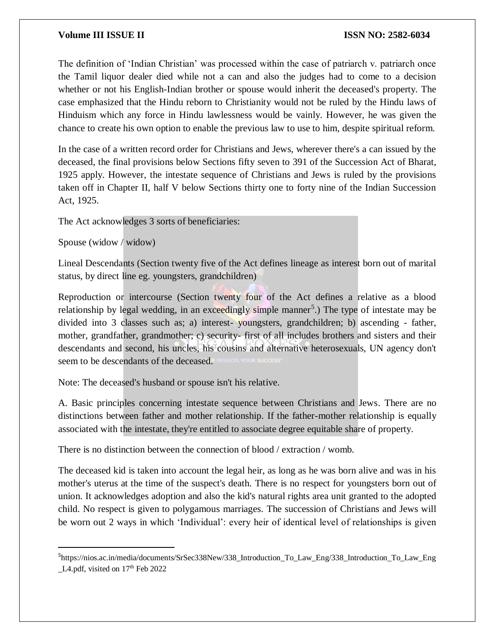The definition of 'Indian Christian' was processed within the case of patriarch v. patriarch once the Tamil liquor dealer died while not a can and also the judges had to come to a decision whether or not his English-Indian brother or spouse would inherit the deceased's property. The case emphasized that the Hindu reborn to Christianity would not be ruled by the Hindu laws of Hinduism which any force in Hindu lawlessness would be vainly. However, he was given the chance to create his own option to enable the previous law to use to him, despite spiritual reform.

In the case of a written record order for Christians and Jews, wherever there's a can issued by the deceased, the final provisions below Sections fifty seven to 391 of the Succession Act of Bharat, 1925 apply. However, the intestate sequence of Christians and Jews is ruled by the provisions taken off in Chapter II, half V below Sections thirty one to forty nine of the Indian Succession Act, 1925.

The Act acknowledges 3 sorts of beneficiaries:

Spouse (widow / widow)

 $\overline{\phantom{a}}$ 

Lineal Descendants (Section twenty five of the Act defines lineage as interest born out of marital status, by direct line eg. youngsters, grandchildren)

Reproduction or intercourse (Section twenty four of the Act defines a relative as a blood relationship by legal wedding, in an exceedingly simple manner<sup>5</sup>.) The type of intestate may be divided into 3 classes such as; a) interest- youngsters, grandchildren; b) ascending - father, mother, grandfather, grandmother; c) security- first of all includes brothers and sisters and their descendants and second, his uncles, his cousins and alternative heterosexuals, UN agency don't seem to be descendants of the deceased.

Note: The deceased's husband or spouse isn't his relative.

A. Basic principles concerning intestate sequence between Christians and Jews. There are no distinctions between father and mother relationship. If the father-mother relationship is equally associated with the intestate, they're entitled to associate degree equitable share of property.

There is no distinction between the connection of blood / extraction / womb.

The deceased kid is taken into account the legal heir, as long as he was born alive and was in his mother's uterus at the time of the suspect's death. There is no respect for youngsters born out of union. It acknowledges adoption and also the kid's natural rights area unit granted to the adopted child. No respect is given to polygamous marriages. The succession of Christians and Jews will be worn out 2 ways in which 'Individual': every heir of identical level of relationships is given

<sup>5</sup> https://nios.ac.in/media/documents/SrSec338New/338\_Introduction\_To\_Law\_Eng/338\_Introduction\_To\_Law\_Eng  $L4.$ pdf, visited on  $17<sup>th</sup>$  Feb 2022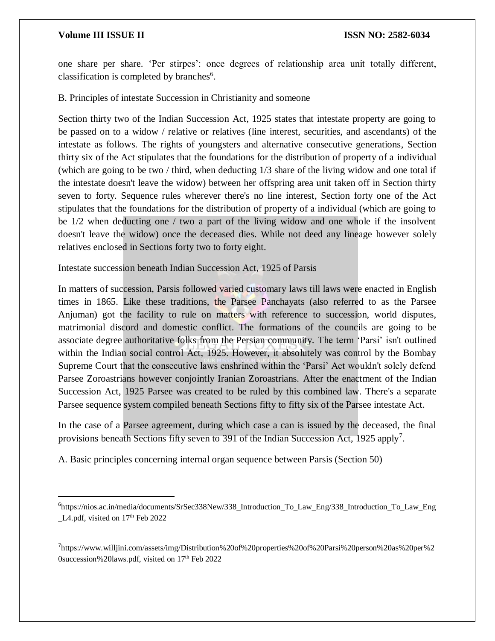$\overline{a}$ 

one share per share. 'Per stirpes': once degrees of relationship area unit totally different, classification is completed by branches<sup>6</sup>.

B. Principles of intestate Succession in Christianity and someone

Section thirty two of the Indian Succession Act, 1925 states that intestate property are going to be passed on to a widow / relative or relatives (line interest, securities, and ascendants) of the intestate as follows. The rights of youngsters and alternative consecutive generations, Section thirty six of the Act stipulates that the foundations for the distribution of property of a individual (which are going to be two / third, when deducting 1/3 share of the living widow and one total if the intestate doesn't leave the widow) between her offspring area unit taken off in Section thirty seven to forty. Sequence rules wherever there's no line interest, Section forty one of the Act stipulates that the foundations for the distribution of property of a individual (which are going to be 1/2 when deducting one / two a part of the living widow and one whole if the insolvent doesn't leave the widow) once the deceased dies. While not deed any lineage however solely relatives enclosed in Sections forty two to forty eight.

Intestate succession beneath Indian Succession Act, 1925 of Parsis

In matters of succession, Parsis followed varied customary laws till laws were enacted in English times in 1865. Like these traditions, the Parsee Panchayats (also referred to as the Parsee Anjuman) got the facility to rule on matters with reference to succession, world disputes, matrimonial discord and domestic conflict. The formations of the councils are going to be associate degree authoritative folks from the Persian community. The term 'Parsi' isn't outlined within the Indian social control Act, 1925. However, it absolutely was control by the Bombay Supreme Court that the consecutive laws enshrined within the 'Parsi' Act wouldn't solely defend Parsee Zoroastrians however conjointly Iranian Zoroastrians. After the enactment of the Indian Succession Act, 1925 Parsee was created to be ruled by this combined law. There's a separate Parsee sequence system compiled beneath Sections fifty to fifty six of the Parsee intestate Act.

In the case of a Parsee agreement, during which case a can is issued by the deceased, the final provisions beneath Sections fifty seven to 391 of the Indian Succession Act, 1925 apply<sup>7</sup>.

A. Basic principles concerning internal organ sequence between Parsis (Section 50)

<sup>6</sup> https://nios.ac.in/media/documents/SrSec338New/338\_Introduction\_To\_Law\_Eng/338\_Introduction\_To\_Law\_Eng L4.pdf, visited on  $17<sup>th</sup>$  Feb 2022

<sup>7</sup> https://www.willjini.com/assets/img/Distribution%20of%20properties%20of%20Parsi%20person%20as%20per%2 0succession%20laws.pdf, visited on 17<sup>th</sup> Feb 2022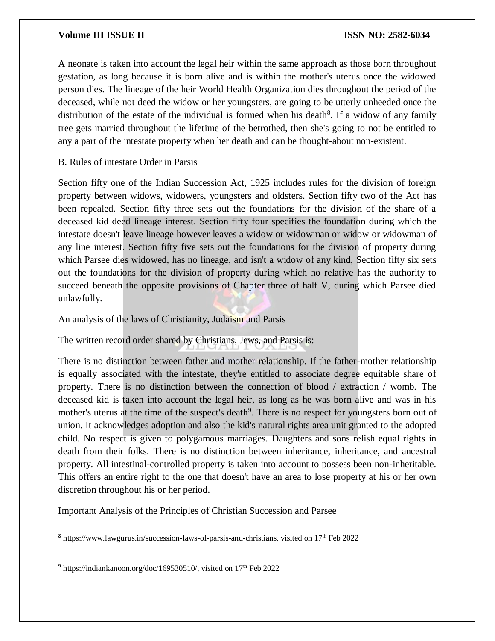### **Volume III ISSUE II ISSUE II ISSN NO:** 2582-6034

A neonate is taken into account the legal heir within the same approach as those born throughout gestation, as long because it is born alive and is within the mother's uterus once the widowed person dies. The lineage of the heir World Health Organization dies throughout the period of the deceased, while not deed the widow or her youngsters, are going to be utterly unheeded once the distribution of the estate of the individual is formed when his death<sup>8</sup>. If a widow of any family tree gets married throughout the lifetime of the betrothed, then she's going to not be entitled to any a part of the intestate property when her death and can be thought-about non-existent.

B. Rules of intestate Order in Parsis

Section fifty one of the Indian Succession Act, 1925 includes rules for the division of foreign property between widows, widowers, youngsters and oldsters. Section fifty two of the Act has been repealed. Section fifty three sets out the foundations for the division of the share of a deceased kid deed lineage interest. Section fifty four specifies the foundation during which the intestate doesn't leave lineage however leaves a widow or widowman or widow or widowman of any line interest. Section fifty five sets out the foundations for the division of property during which Parsee dies widowed, has no lineage, and isn't a widow of any kind, Section fifty six sets out the foundations for the division of property during which no relative has the authority to succeed beneath the opposite provisions of Chapter three of half V, during which Parsee died unlawfully.

An analysis of the laws of Christianity, Judaism and Parsis

The written record order shared by Christians, Jews, and Parsis is:

There is no distinction between father and mother relationship. If the father-mother relationship is equally associated with the intestate, they're entitled to associate degree equitable share of property. There is no distinction between the connection of blood / extraction / womb. The deceased kid is taken into account the legal heir, as long as he was born alive and was in his mother's uterus at the time of the suspect's death<sup>9</sup>. There is no respect for youngsters born out of union. It acknowledges adoption and also the kid's natural rights area unit granted to the adopted child. No respect is given to polygamous marriages. Daughters and sons relish equal rights in death from their folks. There is no distinction between inheritance, inheritance, and ancestral property. All intestinal-controlled property is taken into account to possess been non-inheritable. This offers an entire right to the one that doesn't have an area to lose property at his or her own discretion throughout his or her period.

Important Analysis of the Principles of Christian Succession and Parsee

 $\overline{\phantom{a}}$ 

<sup>&</sup>lt;sup>8</sup> https://www.lawgurus.in/succession-laws-of-parsis-and-christians, visited on 17<sup>th</sup> Feb 2022

<sup>&</sup>lt;sup>9</sup> https://indiankanoon.org/doc/169530510/, visited on 17<sup>th</sup> Feb 2022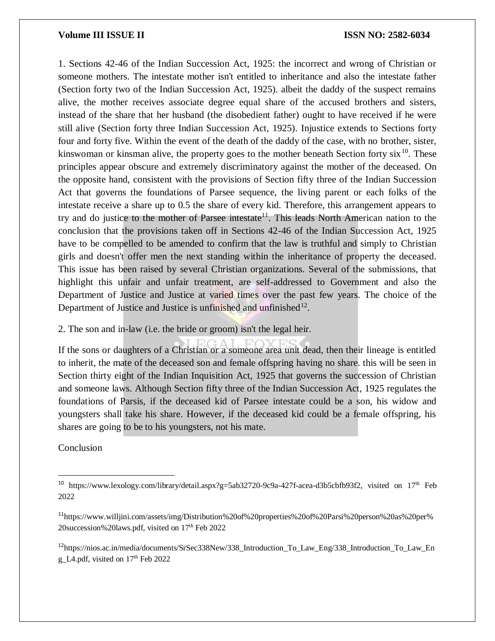1. Sections 42-46 of the Indian Succession Act, 1925: the incorrect and wrong of Christian or someone mothers. The intestate mother isn't entitled to inheritance and also the intestate father (Section forty two of the Indian Succession Act, 1925). albeit the daddy of the suspect remains alive, the mother receives associate degree equal share of the accused brothers and sisters, instead of the share that her husband (the disobedient father) ought to have received if he were still alive (Section forty three Indian Succession Act, 1925). Injustice extends to Sections forty four and forty five. Within the event of the death of the daddy of the case, with no brother, sister, kinswoman or kinsman alive, the property goes to the mother beneath Section forty  $\sin^{10}$ . These principles appear obscure and extremely discriminatory against the mother of the deceased. On the opposite hand, consistent with the provisions of Section fifty three of the Indian Succession Act that governs the foundations of Parsee sequence, the living parent or each folks of the intestate receive a share up to 0.5 the share of every kid. Therefore, this arrangement appears to try and do justice to the mother of Parsee intestate<sup>11</sup>. This leads North American nation to the conclusion that the provisions taken off in Sections 42-46 of the Indian Succession Act, 1925 have to be compelled to be amended to confirm that the law is truthful and simply to Christian girls and doesn't offer men the next standing within the inheritance of property the deceased. This issue has been raised by several Christian organizations. Several of the submissions, that highlight this unfair and unfair treatment, are self-addressed to Government and also the Department of Justice and Justice at varied times over the past few years. The choice of the Department of Justice and Justice is unfinished and unfinished<sup>12</sup>.

2. The son and in-law (i.e. the bride or groom) isn't the legal heir.

If the sons or daughters of a Christian or a someone area unit dead, then their lineage is entitled to inherit, the mate of the deceased son and female offspring having no share. this will be seen in Section thirty eight of the Indian Inquisition Act, 1925 that governs the succession of Christian and someone laws. Although Section fifty three of the Indian Succession Act, 1925 regulates the foundations of Parsis, if the deceased kid of Parsee intestate could be a son, his widow and youngsters shall take his share. However, if the deceased kid could be a female offspring, his shares are going to be to his youngsters, not his mate.

### Conclusion

 $\overline{a}$ 

<sup>12</sup>https://nios.ac.in/media/documents/SrSec338New/338\_Introduction\_To\_Law\_Eng/338\_Introduction\_To\_Law\_En g\_L4.pdf, visited on 17th Feb 2022

<sup>&</sup>lt;sup>10</sup> https://www.lexology.com/library/detail.aspx?g=5ab32720-9c9a-427f-acea-d3b5cbfb93f2, visited on  $17<sup>th</sup>$  Feb 2022

<sup>11</sup>https://www.willjini.com/assets/img/Distribution%20of%20properties%20of%20Parsi%20person%20as%20per% 20succession%20laws.pdf, visited on 17th Feb 2022